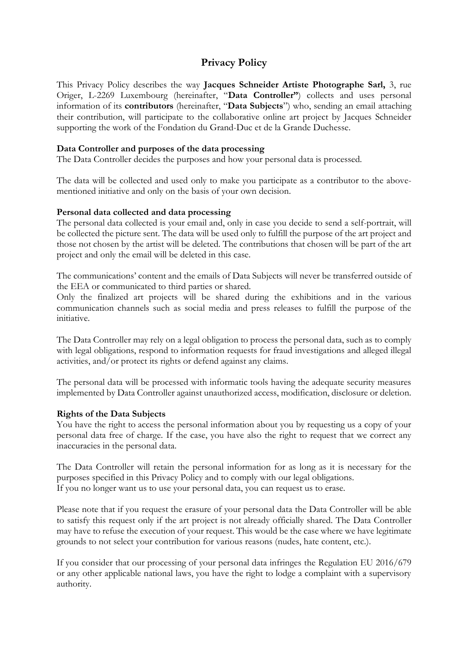## **Privacy Policy**

This Privacy Policy describes the way **Jacques Schneider Artiste Photographe Sarl,** 3, rue Origer, L-2269 Luxembourg (hereinafter, "**Data Controller"**) collects and uses personal information of its **contributors** (hereinafter, "**Data Subjects**") who, sending an email attaching their contribution, will participate to the collaborative online art project by Jacques Schneider supporting the work of the Fondation du Grand-Duc et de la Grande Duchesse.

### **Data Controller and purposes of the data processing**

The Data Controller decides the purposes and how your personal data is processed.

The data will be collected and used only to make you participate as a contributor to the abovementioned initiative and only on the basis of your own decision.

#### **Personal data collected and data processing**

The personal data collected is your email and, only in case you decide to send a self-portrait, will be collected the picture sent. The data will be used only to fulfill the purpose of the art project and those not chosen by the artist will be deleted. The contributions that chosen will be part of the art project and only the email will be deleted in this case.

The communications' content and the emails of Data Subjects will never be transferred outside of the EEA or communicated to third parties or shared.

Only the finalized art projects will be shared during the exhibitions and in the various communication channels such as social media and press releases to fulfill the purpose of the initiative.

The Data Controller may rely on a legal obligation to process the personal data, such as to comply with legal obligations, respond to information requests for fraud investigations and alleged illegal activities, and/or protect its rights or defend against any claims.

The personal data will be processed with informatic tools having the adequate security measures implemented by Data Controller against unauthorized access, modification, disclosure or deletion.

### **Rights of the Data Subjects**

You have the right to access the personal information about you by requesting us a copy of your personal data free of charge. If the case, you have also the right to request that we correct any inaccuracies in the personal data.

The Data Controller will retain the personal information for as long as it is necessary for the purposes specified in this Privacy Policy and to comply with our legal obligations. If you no longer want us to use your personal data, you can request us to erase.

Please note that if you request the erasure of your personal data the Data Controller will be able to satisfy this request only if the art project is not already officially shared. The Data Controller may have to refuse the execution of your request. This would be the case where we have legitimate grounds to not select your contribution for various reasons (nudes, hate content, etc.).

If you consider that our processing of your personal data infringes the Regulation EU 2016/679 or any other applicable national laws, you have the right to lodge a complaint with a supervisory authority.